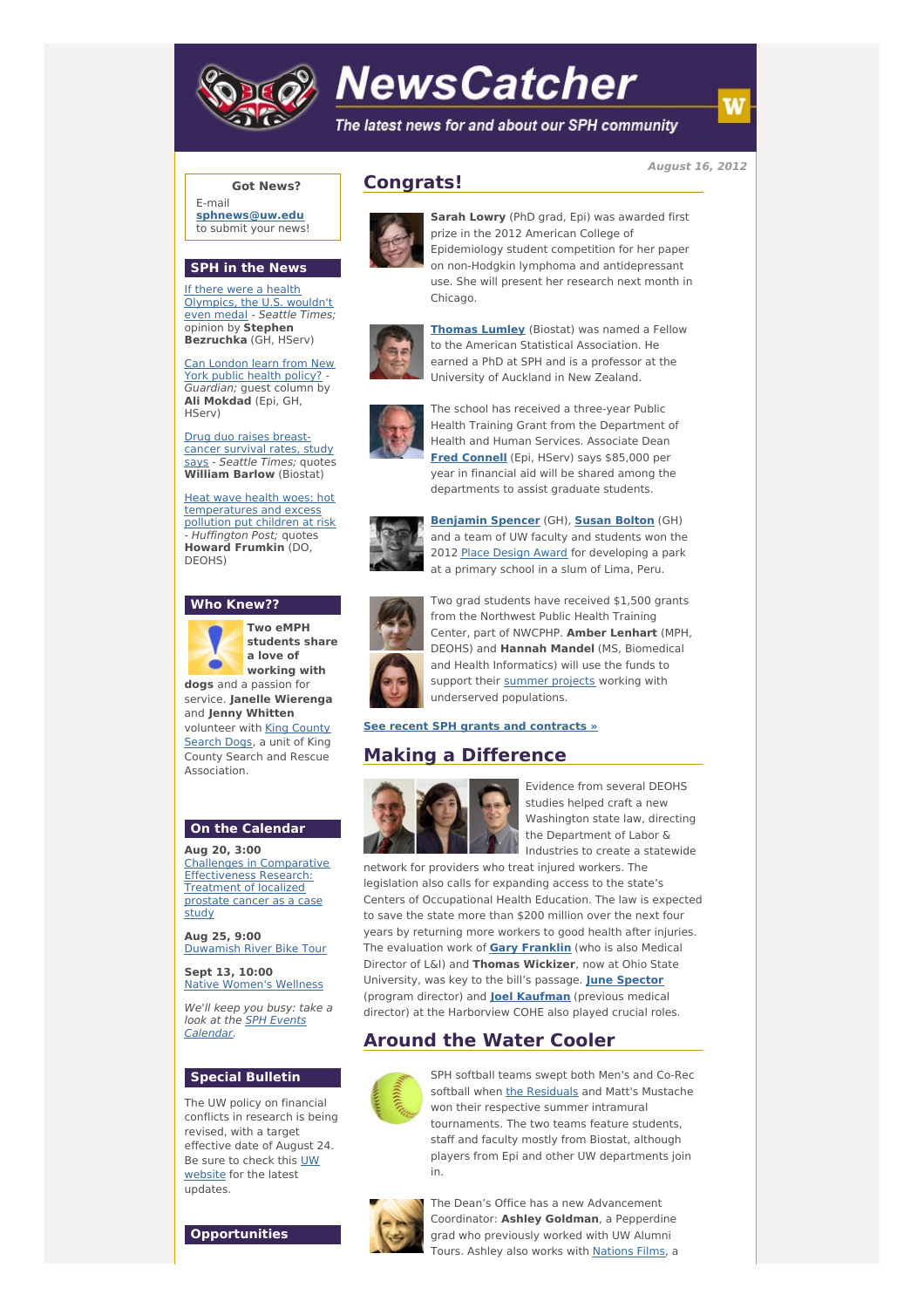

# **NewsCatcher**

The latest news for and about our SPH community

**August 16, 2012**

## **Got News?**

E-mail **[sphnews@uw.edu](mailto:sphnews@uw.edu)** to submit your news!

### **SPH in the News**

If there were a health [Olympics,](http://engage.washington.edu/site/R?i=zott6SFtCbOxoi9SYJJsoQ) the U.S. wouldn't even medal - Seattle Times; opinion by **Stephen Bezruchka** (GH, HServ)

Can [London](http://engage.washington.edu/site/R?i=qmAqAFyvfYpG5HTFrv_xxg) learn from New York public health policy? Guardian; guest column by **Ali Mokdad** (Epi, GH, HServ)

Drug duo raises breastcancer [survival](http://engage.washington.edu/site/R?i=LAptKSYVjD0VqcVjjL4Xrw) rates, study says - Seattle Times; quotes **William Barlow** (Biostat)

Heat wave health woes: hot [temperatures](http://engage.washington.edu/site/R?i=PMjMBM6H7osxmUiziq6xPg) and excess pollution put children at risk -<br>Huffington Post; quotes **Howard Frumkin** (DO, DEOHS)

#### **Who Knew??**



**Two eMPH students share a love of working with dogs** and a passion for

service. **Janelle Wierenga** and **Jenny Whitten** [volunteer](http://engage.washington.edu/site/R?i=UNvhFAVxlHZqz9zA3e-zPQ) with King County Search Dogs, a unit of King County Search and Rescue

#### **On the Calendar**

Association.

**Aug 20, 3:00** Challenges in Comparative [Effectiveness](http://engage.washington.edu/site/R?i=gbPVInCEnH5Z06m0j8Hcfw) Research: Treatment of localized prostate cancer as a case study

**Aug 25, 9:00** [Duwamish](http://engage.washington.edu/site/R?i=DuUCseYHWMtb_NonFrEWcQ) River Bike Tour

**Sept 13, 10:00** Native [Women's](http://engage.washington.edu/site/R?i=-NPRwvhq1XdY1ejk0bfbqg) Wellness

We'll keep you busy: take a look at the SPH Events [Calendar.](http://engage.washington.edu/site/R?i=kQPHGusANrsqzPbO31ntAA)

# **Special Bulletin**

The UW policy on financial conflicts in research is being revised, with a target effective date of August 24. Be sure to check this UW [website](http://engage.washington.edu/site/R?i=safHwaTxO4Nopn5rAn9boQ) for the latest updates.

**Opportunities**

# **Congrats!**



**Sarah Lowry** (PhD grad, Epi) was awarded first prize in the 2012 American College of Epidemiology student competition for her paper on non-Hodgkin lymphoma and antidepressant use. She will present her research next month in Chicago.



**[Thomas](http://engage.washington.edu/site/R?i=PLvzTh5XuxGDEcWA0mf8oQ) Lumley** (Biostat) was named a Fellow to the American Statistical Association. He earned a PhD at SPH and is a professor at the University of Auckland in New Zealand.



The school has received a three-year Public Health Training Grant from the Department of Health and Human Services. Associate Dean **Fred [Connell](http://engage.washington.edu/site/R?i=pt-AyLpRNawkkVBxEShw8w)** (Epi, HServ) says \$85,000 per year in financial aid will be shared among the departments to assist graduate students.



**[Benjamin](http://engage.washington.edu/site/R?i=7a4QLT-XSn2ebJSy4iiAKw) Spencer** (GH), **Susan [Bolton](http://engage.washington.edu/site/R?i=u5unxPR1WxcVVcjkiqSe7Q)** (GH) and a team of UW faculty and students won the 2012 Place [Design](http://engage.washington.edu/site/R?i=B4iAFbECkMoCgDWt1LrM1Q) Award for developing a park at a primary school in a slum of Lima, Peru.



Two grad students have received \$1,500 grants from the Northwest Public Health Training Center, part of NWCPHP. **Amber Lenhart** (MPH, DEOHS) and **Hannah Mandel** (MS, Biomedical and Health Informatics) will use the funds to support their [summer](http://engage.washington.edu/site/R?i=PLVWN5LcZVX8ZdQSj05JPQ) projects working with underserved populations.

#### **See recent SPH grants and [contracts](http://engage.washington.edu/site/R?i=VCTj-h-Ly_Q-XVG1QDFYlg) »**

# **Making a Difference**



Evidence from several DEOHS studies helped craft a new Washington state law, directing the Department of Labor & Industries to create a statewide

network for providers who treat injured workers. The legislation also calls for expanding access to the state's Centers of Occupational Health Education. The law is expected to save the state more than \$200 million over the next four years by returning more workers to good health after injuries. The evaluation work of **Gary [Franklin](http://engage.washington.edu/site/R?i=Tt8xrEqwfHYKZukdpQRPCQ)** (who is also Medical Director of L&I) and **Thomas Wickizer**, now at Ohio State University, was key to the bill's passage. **June [Spector](http://engage.washington.edu/site/R?i=7kUxB401cGR4gIqMmAG25Q)** (program director) and **Joel [Kaufman](http://engage.washington.edu/site/R?i=9uzUUQWmTZAmJF-3LnYPqw)** (previous medical director) at the Harborview COHE also played crucial roles.

# **Around the Water Cooler**



SPH softball teams swept both Men's and Co-Rec softball when the [Residuals](http://engage.washington.edu/site/R?i=yQPo9cJ2JaAnEN07Iqu7Ug) and Matt's Mustache won their respective summer intramural tournaments. The two teams feature students, staff and faculty mostly from Biostat, although players from Epi and other UW departments join in.



The Dean's Office has a new Advancement Coordinator: **Ashley Goldman**, a Pepperdine grad who previously worked with UW Alumni Tours. Ashley also works with [Nations](http://engage.washington.edu/site/R?i=UuN0Dudt6RS7gJgtZshxAQ) Films, a